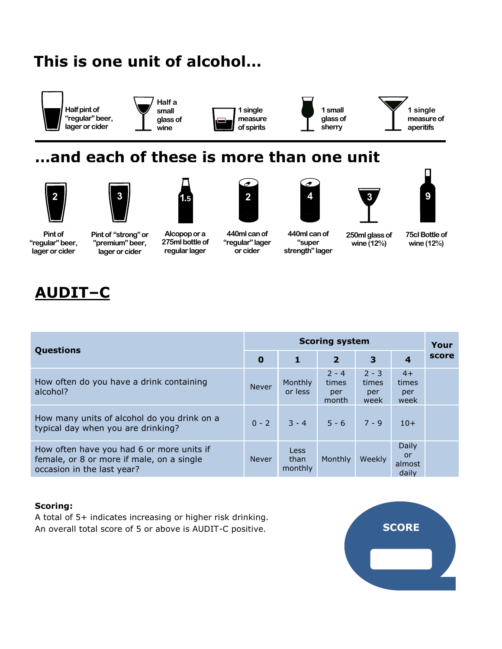# **This is one unit of alcohol…**



## **…and each of these is more than one unit**

**Alcopop or a 275ml bottle of regular lager**

**1.5**



**Pint of "regular" beer, lager or cider**



**Pint of "strong" or "premium" beer, lager or cider**





**440ml can of "regular" lager or cider**



**"super strength" lager**



**250ml glass of wine (12%)**



**75cl Bottle of wine(12%)**

# **AUDIT–C**

| <b>Questions</b>                                                                                                     | <b>Scoring system</b> |                                |                                  |                                 |                                 |       |
|----------------------------------------------------------------------------------------------------------------------|-----------------------|--------------------------------|----------------------------------|---------------------------------|---------------------------------|-------|
|                                                                                                                      | $\bf{0}$              | 1                              | $\overline{\mathbf{2}}$          | 3                               | $\boldsymbol{4}$                | score |
| How often do you have a drink containing<br>alcohol?                                                                 | <b>Never</b>          | Monthly<br>or less             | $2 - 4$<br>times<br>per<br>month | $2 - 3$<br>times<br>per<br>week | $4+$<br>times<br>per<br>week    |       |
| How many units of alcohol do you drink on a<br>typical day when you are drinking?                                    | $0 - 2$               | $3 - 4$                        | $5 - 6$                          | $7 - 9$                         | $10+$                           |       |
| How often have you had 6 or more units if<br>female, or 8 or more if male, on a single<br>occasion in the last year? | <b>Never</b>          | <b>Less</b><br>than<br>monthly | Monthly                          | <b>Weekly</b>                   | Daily<br>or.<br>almost<br>daily |       |

#### **Scoring:**

A total of 5+ indicates increasing or higher risk drinking. An overall total score of 5 or above is AUDIT-C positive. **SCORE**